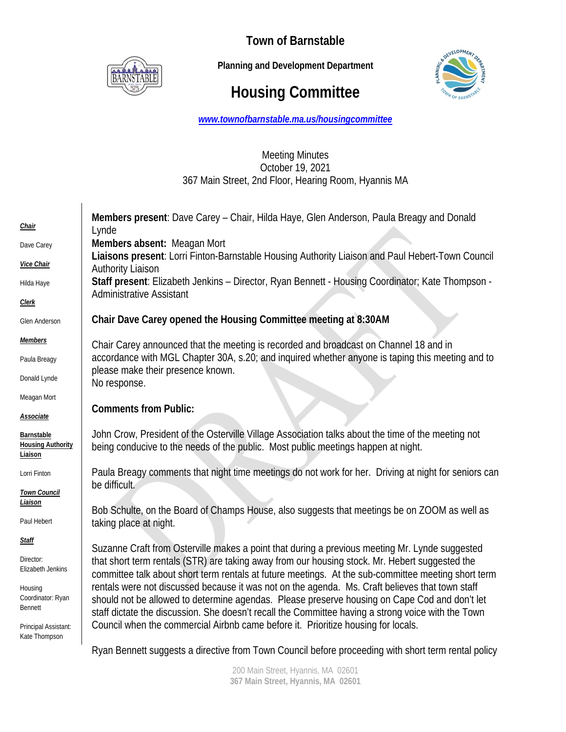

**Town of Barnstable** 

 **Planning and Development Department**

# **Housing Committee**



*www.townofbarnstable.ma.us/housingcommittee*

## Meeting Minutes October 19, 2021 367 Main Street, 2nd Floor, Hearing Room, Hyannis MA

| <u>Chair</u><br>Dave Carey<br>Vice Chair                                                                                                  | Members present: Dave Carey - Chair, Hilda Haye, Glen Anderson, Paula Breagy and Donald<br>Lynde<br>Members absent: Meagan Mort<br>Liaisons present: Lorri Finton-Barnstable Housing Authority Liaison and Paul Hebert-Town Council<br><b>Authority Liaison</b>                                                                                                                                                                                                                                                                                                                                                                                                                                        |
|-------------------------------------------------------------------------------------------------------------------------------------------|--------------------------------------------------------------------------------------------------------------------------------------------------------------------------------------------------------------------------------------------------------------------------------------------------------------------------------------------------------------------------------------------------------------------------------------------------------------------------------------------------------------------------------------------------------------------------------------------------------------------------------------------------------------------------------------------------------|
| Hilda Haye                                                                                                                                | Staff present: Elizabeth Jenkins - Director, Ryan Bennett - Housing Coordinator; Kate Thompson -<br><b>Administrative Assistant</b>                                                                                                                                                                                                                                                                                                                                                                                                                                                                                                                                                                    |
| <b>Clerk</b><br><b>Glen Anderson</b>                                                                                                      | Chair Dave Carey opened the Housing Committee meeting at 8:30AM                                                                                                                                                                                                                                                                                                                                                                                                                                                                                                                                                                                                                                        |
| <b>Members</b><br>Paula Breagy<br>Donald Lynde                                                                                            | Chair Carey announced that the meeting is recorded and broadcast on Channel 18 and in<br>accordance with MGL Chapter 30A, s.20; and inquired whether anyone is taping this meeting and to<br>please make their presence known.<br>No response.                                                                                                                                                                                                                                                                                                                                                                                                                                                         |
| Meagan Mort<br><b>Associate</b>                                                                                                           | <b>Comments from Public:</b>                                                                                                                                                                                                                                                                                                                                                                                                                                                                                                                                                                                                                                                                           |
| Barnstable<br><b>Housing Authority</b><br>Liaison                                                                                         | John Crow, President of the Osterville Village Association talks about the time of the meeting not<br>being conducive to the needs of the public. Most public meetings happen at night.                                                                                                                                                                                                                                                                                                                                                                                                                                                                                                                |
| Lorri Finton<br><b>Town Council</b>                                                                                                       | Paula Breagy comments that night time meetings do not work for her. Driving at night for seniors can<br>be difficult.                                                                                                                                                                                                                                                                                                                                                                                                                                                                                                                                                                                  |
| <u>Liaison</u><br>Paul Hebert                                                                                                             | Bob Schulte, on the Board of Champs House, also suggests that meetings be on ZOOM as well as<br>taking place at night.                                                                                                                                                                                                                                                                                                                                                                                                                                                                                                                                                                                 |
| <b>Staff</b><br>Director:<br>Elizabeth Jenkins<br>Housing<br>Coordinator: Ryan<br><b>Bennett</b><br>Principal Assistant:<br>Kate Thompson | Suzanne Craft from Osterville makes a point that during a previous meeting Mr. Lynde suggested<br>that short term rentals (STR) are taking away from our housing stock. Mr. Hebert suggested the<br>committee talk about short term rentals at future meetings. At the sub-committee meeting short term<br>rentals were not discussed because it was not on the agenda. Ms. Craft believes that town staff<br>should not be allowed to determine agendas. Please preserve housing on Cape Cod and don't let<br>staff dictate the discussion. She doesn't recall the Committee having a strong voice with the Town<br>Council when the commercial Airbnb came before it. Prioritize housing for locals. |

Ryan Bennett suggests a directive from Town Council before proceeding with short term rental policy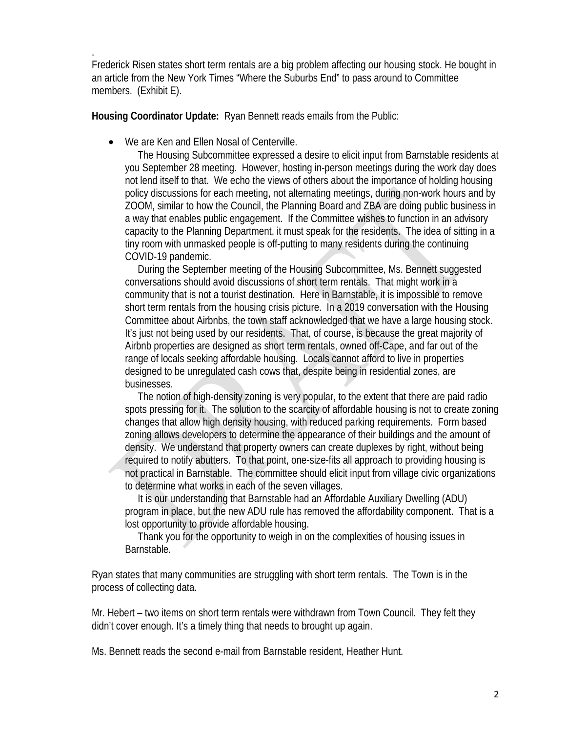. Frederick Risen states short term rentals are a big problem affecting our housing stock. He bought in an article from the New York Times "Where the Suburbs End" to pass around to Committee members. (Exhibit E).

**Housing Coordinator Update:** Ryan Bennett reads emails from the Public:

• We are Ken and Ellen Nosal of Centerville.

 The Housing Subcommittee expressed a desire to elicit input from Barnstable residents at you September 28 meeting. However, hosting in-person meetings during the work day does not lend itself to that. We echo the views of others about the importance of holding housing policy discussions for each meeting, not alternating meetings, during non-work hours and by ZOOM, similar to how the Council, the Planning Board and ZBA are doing public business in a way that enables public engagement. If the Committee wishes to function in an advisory capacity to the Planning Department, it must speak for the residents. The idea of sitting in a tiny room with unmasked people is off-putting to many residents during the continuing COVID-19 pandemic.

 During the September meeting of the Housing Subcommittee, Ms. Bennett suggested conversations should avoid discussions of short term rentals. That might work in a community that is not a tourist destination. Here in Barnstable, it is impossible to remove short term rentals from the housing crisis picture. In a 2019 conversation with the Housing Committee about Airbnbs, the town staff acknowledged that we have a large housing stock. It's just not being used by our residents. That, of course, is because the great majority of Airbnb properties are designed as short term rentals, owned off-Cape, and far out of the range of locals seeking affordable housing. Locals cannot afford to live in properties designed to be unregulated cash cows that, despite being in residential zones, are businesses.

 The notion of high-density zoning is very popular, to the extent that there are paid radio spots pressing for it. The solution to the scarcity of affordable housing is not to create zoning changes that allow high density housing, with reduced parking requirements. Form based zoning allows developers to determine the appearance of their buildings and the amount of density. We understand that property owners can create duplexes by right, without being required to notify abutters. To that point, one-size-fits all approach to providing housing is not practical in Barnstable. The committee should elicit input from village civic organizations to determine what works in each of the seven villages.

 It is our understanding that Barnstable had an Affordable Auxiliary Dwelling (ADU) program in place, but the new ADU rule has removed the affordability component. That is a lost opportunity to provide affordable housing.

 Thank you for the opportunity to weigh in on the complexities of housing issues in Barnstable.

Ryan states that many communities are struggling with short term rentals. The Town is in the process of collecting data.

Mr. Hebert – two items on short term rentals were withdrawn from Town Council. They felt they didn't cover enough. It's a timely thing that needs to brought up again.

Ms. Bennett reads the second e-mail from Barnstable resident, Heather Hunt.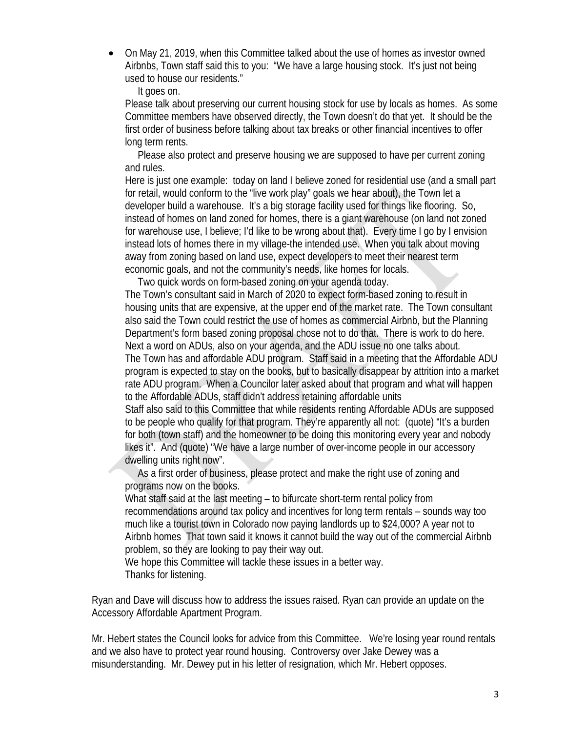• On May 21, 2019, when this Committee talked about the use of homes as investor owned Airbnbs, Town staff said this to you: "We have a large housing stock. It's just not being used to house our residents."

It goes on.

Please talk about preserving our current housing stock for use by locals as homes. As some Committee members have observed directly, the Town doesn't do that yet. It should be the first order of business before talking about tax breaks or other financial incentives to offer long term rents.

 Please also protect and preserve housing we are supposed to have per current zoning and rules.

Here is just one example: today on land I believe zoned for residential use (and a small part for retail, would conform to the "live work play" goals we hear about), the Town let a developer build a warehouse. It's a big storage facility used for things like flooring. So, instead of homes on land zoned for homes, there is a giant warehouse (on land not zoned for warehouse use, I believe; I'd like to be wrong about that). Every time I go by I envision instead lots of homes there in my village-the intended use. When you talk about moving away from zoning based on land use, expect developers to meet their nearest term economic goals, and not the community's needs, like homes for locals.

Two quick words on form-based zoning on your agenda today.

The Town's consultant said in March of 2020 to expect form-based zoning to result in housing units that are expensive, at the upper end of the market rate. The Town consultant also said the Town could restrict the use of homes as commercial Airbnb, but the Planning Department's form based zoning proposal chose not to do that. There is work to do here. Next a word on ADUs, also on your agenda, and the ADU issue no one talks about. The Town has and affordable ADU program. Staff said in a meeting that the Affordable ADU program is expected to stay on the books, but to basically disappear by attrition into a market rate ADU program. When a Councilor later asked about that program and what will happen to the Affordable ADUs, staff didn't address retaining affordable units

Staff also said to this Committee that while residents renting Affordable ADUs are supposed to be people who qualify for that program. They're apparently all not: (quote) "It's a burden for both (town staff) and the homeowner to be doing this monitoring every year and nobody likes it". And (quote) "We have a large number of over-income people in our accessory dwelling units right now".

 As a first order of business, please protect and make the right use of zoning and programs now on the books.

What staff said at the last meeting – to bifurcate short-term rental policy from recommendations around tax policy and incentives for long term rentals – sounds way too much like a tourist town in Colorado now paying landlords up to \$24,000? A year not to Airbnb homes That town said it knows it cannot build the way out of the commercial Airbnb problem, so they are looking to pay their way out.

We hope this Committee will tackle these issues in a better way. Thanks for listening.

Ryan and Dave will discuss how to address the issues raised. Ryan can provide an update on the Accessory Affordable Apartment Program.

Mr. Hebert states the Council looks for advice from this Committee. We're losing year round rentals and we also have to protect year round housing. Controversy over Jake Dewey was a misunderstanding. Mr. Dewey put in his letter of resignation, which Mr. Hebert opposes.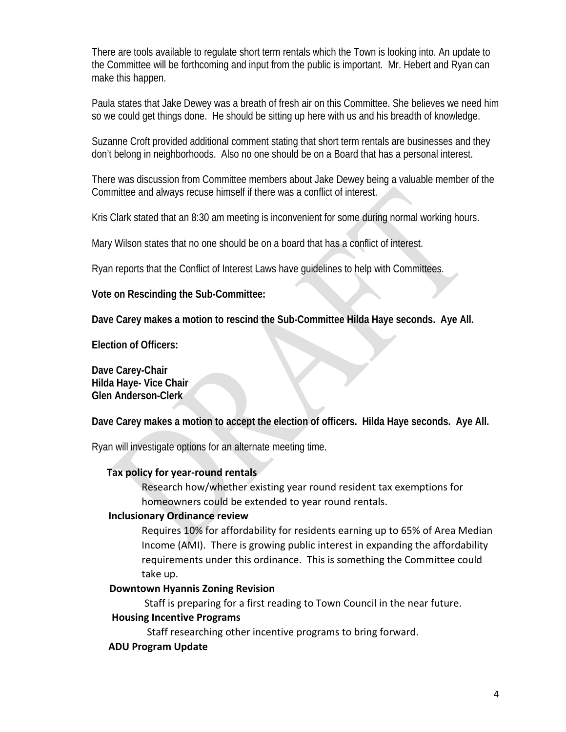There are tools available to regulate short term rentals which the Town is looking into. An update to the Committee will be forthcoming and input from the public is important. Mr. Hebert and Ryan can make this happen.

Paula states that Jake Dewey was a breath of fresh air on this Committee. She believes we need him so we could get things done. He should be sitting up here with us and his breadth of knowledge.

Suzanne Croft provided additional comment stating that short term rentals are businesses and they don't belong in neighborhoods. Also no one should be on a Board that has a personal interest.

There was discussion from Committee members about Jake Dewey being a valuable member of the Committee and always recuse himself if there was a conflict of interest.

Kris Clark stated that an 8:30 am meeting is inconvenient for some during normal working hours.

Mary Wilson states that no one should be on a board that has a conflict of interest.

Ryan reports that the Conflict of Interest Laws have guidelines to help with Committees.

**Vote on Rescinding the Sub-Committee:** 

**Dave Carey makes a motion to rescind the Sub-Committee Hilda Haye seconds. Aye All.** 

**Election of Officers:** 

**Dave Carey-Chair Hilda Haye- Vice Chair Glen Anderson-Clerk** 

**Dave Carey makes a motion to accept the election of officers. Hilda Haye seconds. Aye All.** 

Ryan will investigate options for an alternate meeting time.

#### **Tax policy for year-round rentals**

Research how/whether existing year round resident tax exemptions for homeowners could be extended to year round rentals.

### **Inclusionary Ordinance review**

Requires 10% for affordability for residents earning up to 65% of Area Median Income (AMI). There is growing public interest in expanding the affordability requirements under this ordinance. This is something the Committee could take up.

#### **Downtown Hyannis Zoning Revision**

Staff is preparing for a first reading to Town Council in the near future.

#### **Housing Incentive Programs**

Staff researching other incentive programs to bring forward.

#### **ADU Program Update**